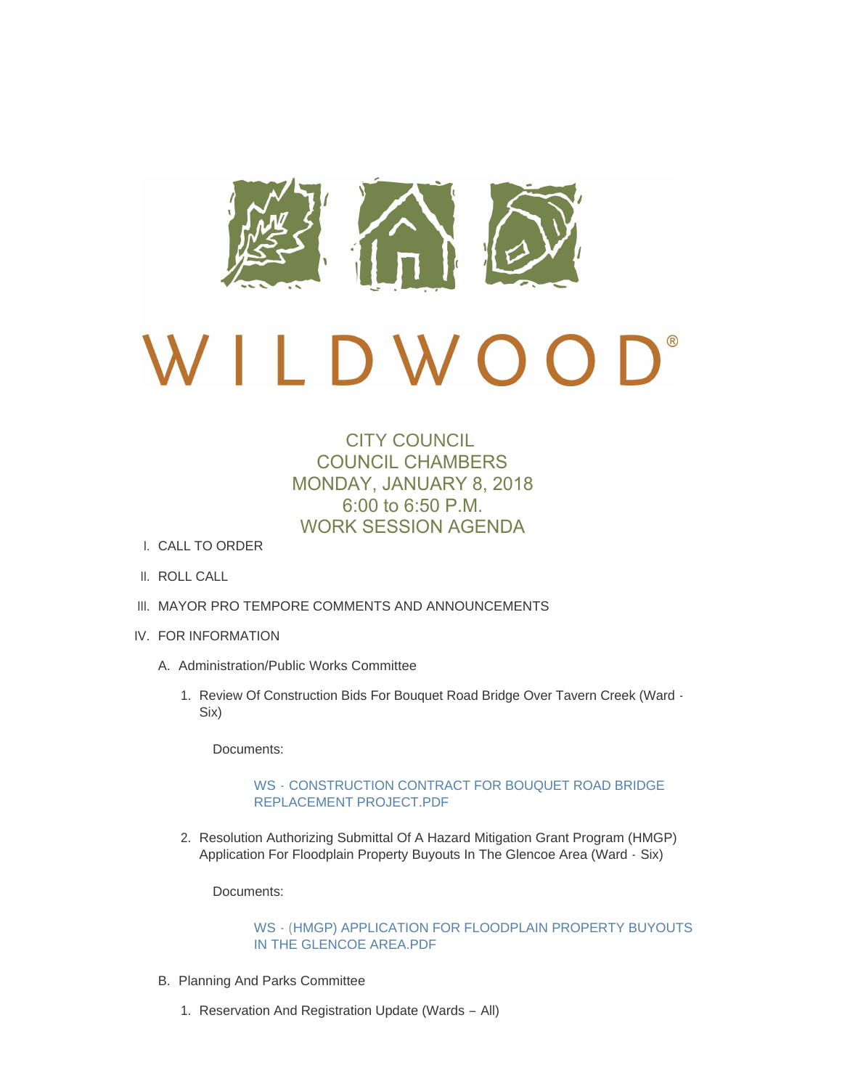

# $\mathbf{D}^*$ D W O O

# CITY COUNCIL COUNCIL CHAMBERS MONDAY, JANUARY 8, 2018 6:00 to 6:50 P.M. WORK SESSION AGENDA

- CALL TO ORDER I.
- II. ROLL CALL
- III. MAYOR PRO TEMPORE COMMENTS AND ANNOUNCEMENTS
- IV. FOR INFORMATION
	- A. Administration/Public Works Committee
		- 1. Review Of Construction Bids For Bouquet Road Bridge Over Tavern Creek (Ward -Six)

Documents:

### WS - [CONSTRUCTION CONTRACT FOR BOUQUET ROAD BRIDGE](http://mo-wildwood.civicplus.com/AgendaCenter/ViewFile/Item/13600?fileID=19383)  REPLACEMENT PROJECT.PDF

2. Resolution Authorizing Submittal Of A Hazard Mitigation Grant Program (HMGP) Application For Floodplain Property Buyouts In The Glencoe Area (Ward - Six)

Documents:

### WS - [\(HMGP\) APPLICATION FOR FLOODPLAIN PROPERTY BUYOUTS](http://mo-wildwood.civicplus.com/AgendaCenter/ViewFile/Item/13601?fileID=19384)  IN THE GLENCOE AREA.PDF

- B. Planning And Parks Committee
	- 1. Reservation And Registration Update (Wards All)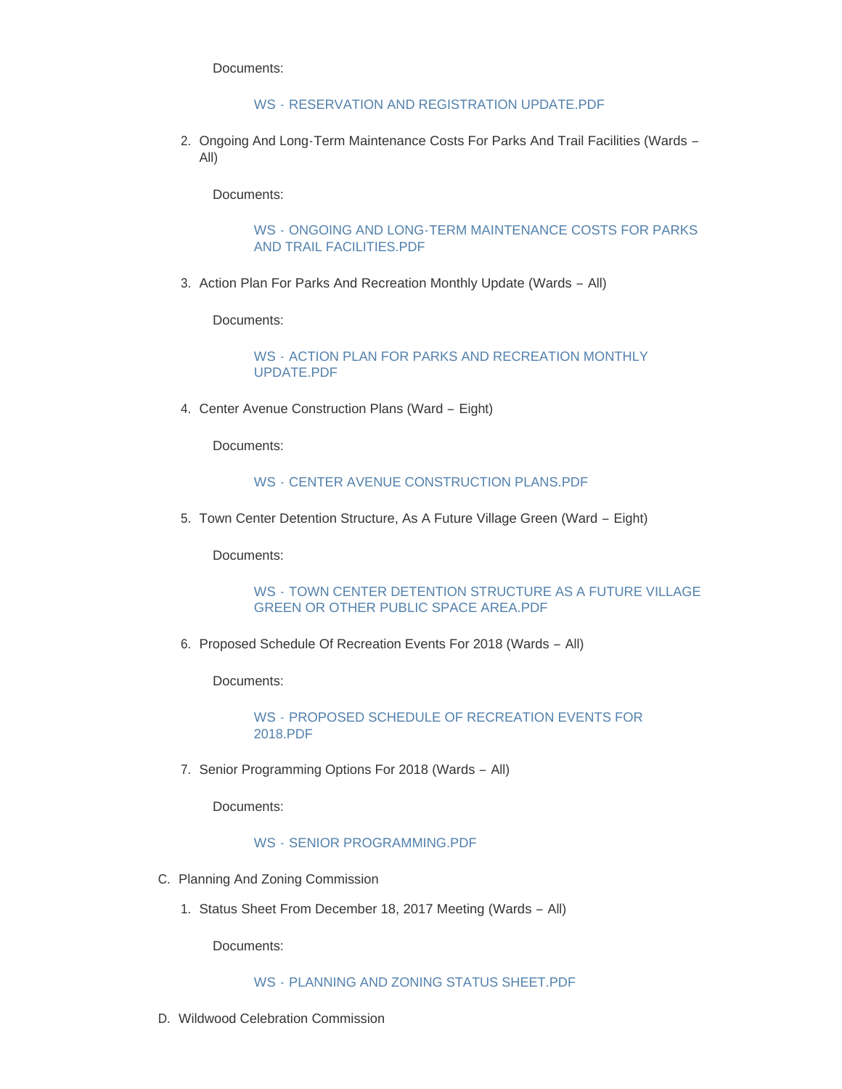Documents:

#### WS - [RESERVATION AND REGISTRATION UPDATE.PDF](http://mo-wildwood.civicplus.com/AgendaCenter/ViewFile/Item/13603?fileID=19385)

2. Ongoing And Long-Term Maintenance Costs For Parks And Trail Facilities (Wards -All)

Documents:

# WS - [ONGOING AND LONG-TERM MAINTENANCE COSTS FOR PARKS](http://mo-wildwood.civicplus.com/AgendaCenter/ViewFile/Item/13604?fileID=19386)  AND TRAIL FACILITIES.PDF

3. Action Plan For Parks And Recreation Monthly Update (Wards - All)

Documents:

WS - [ACTION PLAN FOR PARKS AND RECREATION MONTHLY](http://mo-wildwood.civicplus.com/AgendaCenter/ViewFile/Item/13605?fileID=19387)  UPDATE.PDF

4. Center Avenue Construction Plans (Ward - Eight)

Documents:

#### WS - [CENTER AVENUE CONSTRUCTION PLANS.PDF](http://mo-wildwood.civicplus.com/AgendaCenter/ViewFile/Item/13606?fileID=19388)

5. Town Center Detention Structure, As A Future Village Green (Ward - Eight)

Documents:

# WS - [TOWN CENTER DETENTION STRUCTURE AS A FUTURE VILLAGE](http://mo-wildwood.civicplus.com/AgendaCenter/ViewFile/Item/13607?fileID=19389)  GREEN OR OTHER PUBLIC SPACE AREA.PDF

6. Proposed Schedule Of Recreation Events For 2018 (Wards - All)

Documents:

WS - [PROPOSED SCHEDULE OF RECREATION EVENTS FOR](http://mo-wildwood.civicplus.com/AgendaCenter/ViewFile/Item/13608?fileID=19390)  2018.PDF

7. Senior Programming Options For 2018 (Wards - All)

Documents:

## WS - [SENIOR PROGRAMMING.PDF](http://mo-wildwood.civicplus.com/AgendaCenter/ViewFile/Item/13609?fileID=19391)

- C. Planning And Zoning Commission
	- 1. Status Sheet From December 18, 2017 Meeting (Wards All)

Documents:

WS - [PLANNING AND ZONING STATUS SHEET.PDF](http://mo-wildwood.civicplus.com/AgendaCenter/ViewFile/Item/13611?fileID=19392)

D. Wildwood Celebration Commission